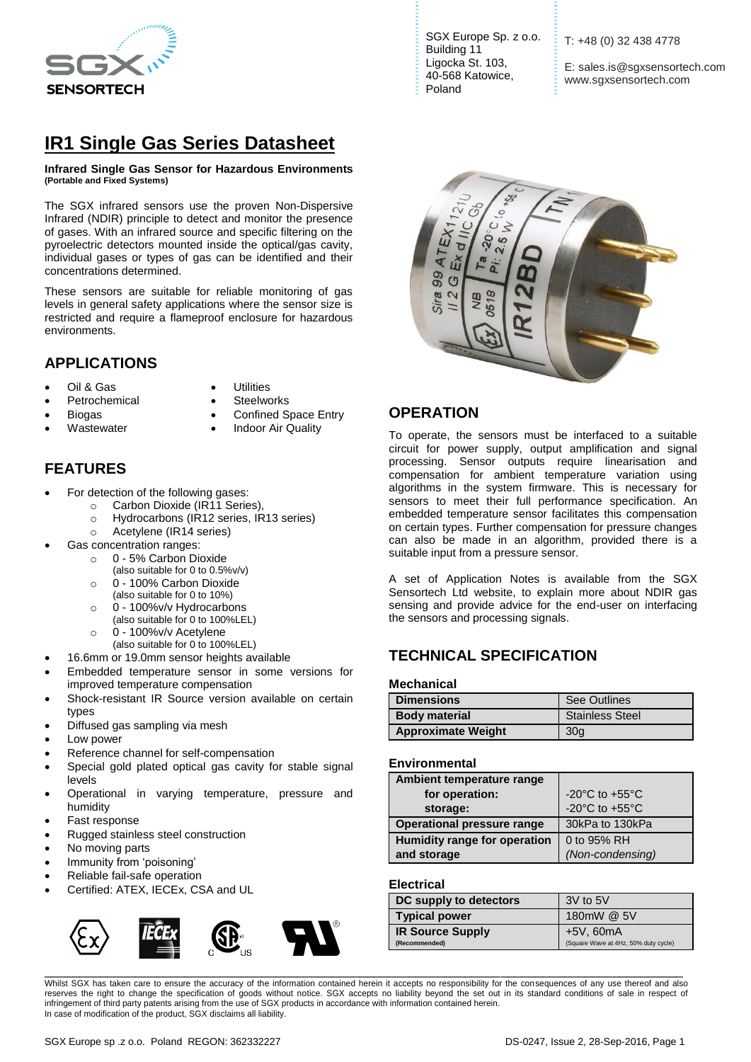

# **IR1 Single Gas Series Datasheet**

#### **Infrared Single Gas Sensor for Hazardous Environments (Portable and Fixed Systems)**

The SGX infrared sensors use the proven Non-Dispersive Infrared (NDIR) principle to detect and monitor the presence of gases. With an infrared source and specific filtering on the pyroelectric detectors mounted inside the optical/gas cavity, individual gases or types of gas can be identified and their concentrations determined.

These sensors are suitable for reliable monitoring of gas levels in general safety applications where the sensor size is restricted and require a flameproof enclosure for hazardous environments.

# **APPLICATIONS**

- Oil & Gas
- **Utilities**
- Petrochemical
- **Steelworks**
- Biogas
	- **Wastewater**
- Confined Space Entry
- Indoor Air Quality

# **FEATURES**

- For detection of the following gases:
	- o Carbon Dioxide (IR11 Series),
		- o Hydrocarbons (IR12 series, IR13 series)
		- o Acetylene (IR14 series)
- Gas concentration ranges:
	- o 0 5% Carbon Dioxide
	- (also suitable for 0 to 0.5%v/v)
	- o 0 100% Carbon Dioxide
	- (also suitable for 0 to 10%)
	- o 0 100%v/v Hydrocarbons (also suitable for 0 to 100%LEL)
	- o 0 100%v/v Acetylene
	- (also suitable for 0 to 100%LEL)
	- 16.6mm or 19.0mm sensor heights available
- Embedded temperature sensor in some versions for improved temperature compensation
- Shock-resistant IR Source version available on certain types
- Diffused gas sampling via mesh
- Low power
- Reference channel for self-compensation
- Special gold plated optical gas cavity for stable signal levels
- Operational in varying temperature, pressure and humidity
- Fast response
- Rugged stainless steel construction
- No moving parts
- Immunity from 'poisoning'
- Reliable fail-safe operation
- Certified: ATEX, IECEx, CSA and UL



SGX Europe Sp. z o.o. Building 11 Ligocka St. 103, 40-568 Katowice, Poland

T: +48 (0) 32 438 4778

E: sales.is@sgxsensortech.com www.sgxsensortech.com



#### **OPERATION**

To operate, the sensors must be interfaced to a suitable circuit for power supply, output amplification and signal processing. Sensor outputs require linearisation and compensation for ambient temperature variation using algorithms in the system firmware. This is necessary for sensors to meet their full performance specification. An embedded temperature sensor facilitates this compensation on certain types. Further compensation for pressure changes can also be made in an algorithm, provided there is a suitable input from a pressure sensor.

A set of Application Notes is available from the SGX Sensortech Ltd website, to explain more about NDIR gas sensing and provide advice for the end-user on interfacing the sensors and processing signals.

# **TECHNICAL SPECIFICATION**

#### **Mechanical**

| <b>Dimensions</b>         | See Outlines           |
|---------------------------|------------------------|
| <b>Body material</b>      | <b>Stainless Steel</b> |
| <b>Approximate Weight</b> | 30 <sub>q</sub>        |

#### **Environmental**

| Ambient temperature range         |                                      |
|-----------------------------------|--------------------------------------|
| for operation:                    | $-20^{\circ}$ C to $+55^{\circ}$ C   |
| storage:                          | -20 $^{\circ}$ C to +55 $^{\circ}$ C |
| <b>Operational pressure range</b> | 30kPa to 130kPa                      |
| Humidity range for operation      | 0 to 95% RH                          |
| and storage                       | (Non-condensing)                     |

#### **Electrical**

| DC supply to detectors  | 3V to 5V                             |
|-------------------------|--------------------------------------|
| <b>Typical power</b>    | 180mW @ 5V                           |
| <b>IR Source Supply</b> | +5V, 60mA                            |
| (Recommended)           | (Square Wave at 4Hz, 50% duty cycle) |

Whilst SGX has taken care to ensure the accuracy of the information contained herein it accepts no responsibility for the consequences of any use thereof and also reserves the right to change the specification of goods without notice. SGX accepts no liability beyond the set out in its standard conditions of sale in respect of infringement of third party patents arising from the use of SGX products in accordance with information contained herein. In case of modification of the product, SGX disclaims all liability.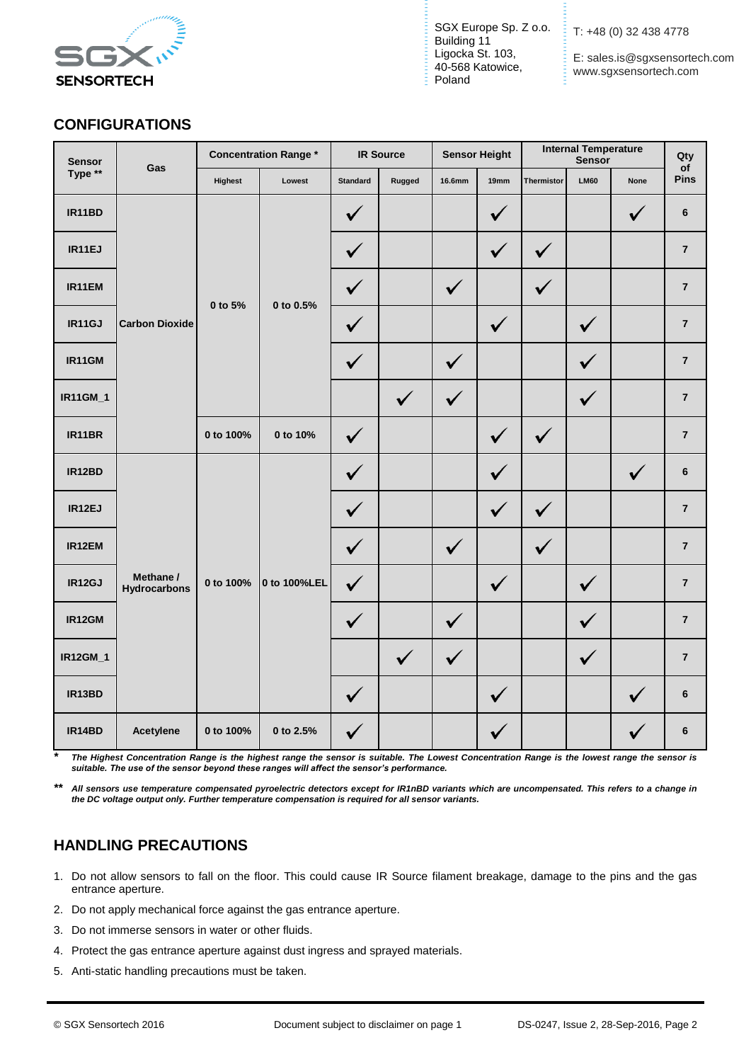

E: sales.is@sgxsensortech.com www.sgxsensortech.com

# **CONFIGURATIONS**

| <b>Sensor</b> | <b>Concentration Range*</b><br>Gas |           | <b>IR Source</b>     |                 | <b>Sensor Height</b> |              | <b>Internal Temperature</b><br>Sensor |              | Qty<br>of    |                |                         |
|---------------|------------------------------------|-----------|----------------------|-----------------|----------------------|--------------|---------------------------------------|--------------|--------------|----------------|-------------------------|
| Type **       |                                    | Highest   | Lowest               | <b>Standard</b> | Rugged               | 16.6mm       | 19mm                                  | Thermistor   | <b>LM60</b>  | <b>None</b>    | Pins                    |
| IR11BD        |                                    |           | ✓                    |                 |                      | $\checkmark$ |                                       |              | $\checkmark$ | $6\phantom{1}$ |                         |
| IR11EJ        |                                    |           | 0 to 5%<br>0 to 0.5% | ✓               |                      |              | $\checkmark$                          | $\checkmark$ |              |                | $\overline{\mathbf{7}}$ |
| IR11EM        |                                    |           |                      | $\checkmark$    |                      | $\checkmark$ |                                       | $\checkmark$ |              |                | $\overline{7}$          |
| IR11GJ        | <b>Carbon Dioxide</b>              |           |                      |                 | $\checkmark$         |              |                                       | $\checkmark$ |              | $\checkmark$   |                         |
| IR11GM        |                                    |           |                      | $\checkmark$    |                      | $\checkmark$ |                                       |              | $\checkmark$ |                | $\overline{7}$          |
| IR11GM_1      |                                    |           |                      |                 | $\checkmark$         | $\checkmark$ |                                       |              | $\checkmark$ |                | $\overline{7}$          |
| IR11BR        |                                    | 0 to 100% | 0 to 10%             | $\checkmark$    |                      |              | $\checkmark$                          | $\checkmark$ |              |                | $\overline{7}$          |
| IR12BD        |                                    |           | $\checkmark$         |                 |                      | $\checkmark$ |                                       |              | $\checkmark$ | $\bf 6$        |                         |
| IR12EJ        |                                    |           |                      | $\checkmark$    |                      |              | $\checkmark$                          | $\checkmark$ |              |                | $\overline{7}$          |
| IR12EM        |                                    |           |                      | ✓               |                      | $\checkmark$ |                                       | $\checkmark$ |              |                | $\overline{7}$          |
| IR12GJ        | Methane /<br><b>Hydrocarbons</b>   | 0 to 100% | 0 to 100%LEL         | $\checkmark$    |                      |              | $\checkmark$                          |              | $\checkmark$ |                | $\overline{7}$          |
| IR12GM        |                                    |           |                      | $\checkmark$    |                      | $\checkmark$ |                                       |              | $\checkmark$ |                | $\overline{7}$          |
| IR12GM_1      |                                    |           |                      |                 | $\checkmark$         | $\checkmark$ |                                       |              | $\checkmark$ |                | $\overline{7}$          |
| IR13BD        |                                    |           |                      | $\checkmark$    |                      |              | $\checkmark$                          |              |              | $\checkmark$   | $6\phantom{1}$          |
| IR14BD        | Acetylene                          | 0 to 100% | 0 to 2.5%            | ✓               |                      |              | $\checkmark$                          |              |              |                | $6\phantom{1}$          |

*\* The Highest Concentration Range is the highest range the sensor is suitable. The Lowest Concentration Range is the lowest range the sensor is suitable. The use of the sensor beyond these ranges will affect the sensor's performance.*

*\*\* All sensors use temperature compensated pyroelectric detectors except for IR1nBD variants which are uncompensated. This refers to a change in the DC voltage output only. Further temperature compensation is required for all sensor variants.*

# **HANDLING PRECAUTIONS**

- 1. Do not allow sensors to fall on the floor. This could cause IR Source filament breakage, damage to the pins and the gas entrance aperture.
- 2. Do not apply mechanical force against the gas entrance aperture.
- 3. Do not immerse sensors in water or other fluids.
- 4. Protect the gas entrance aperture against dust ingress and sprayed materials.
- 5. Anti-static handling precautions must be taken.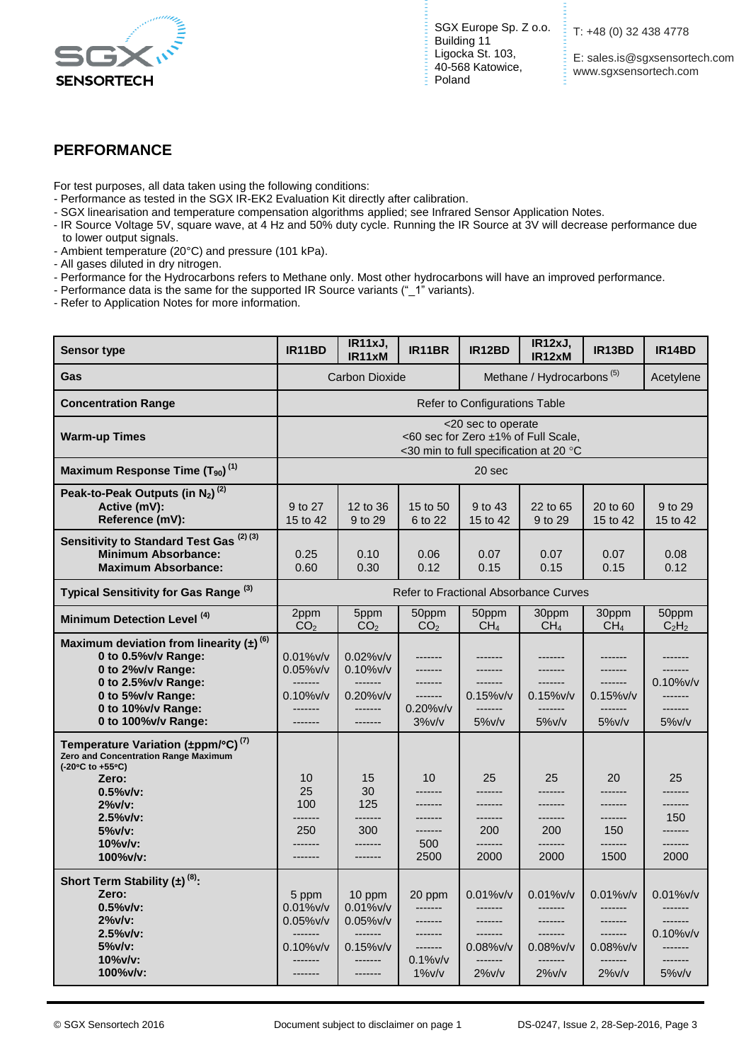

E: sales.is@sgxsensortech.com www.sgxsensortech.com

### **PERFORMANCE**

For test purposes, all data taken using the following conditions:

- Performance as tested in the SGX IR-EK2 Evaluation Kit directly after calibration.
- SGX linearisation and temperature compensation algorithms applied; see Infrared Sensor Application Notes.
- IR Source Voltage 5V, square wave, at 4 Hz and 50% duty cycle. Running the IR Source at 3V will decrease performance due to lower output signals.
- Ambient temperature (20°C) and pressure (101 kPa).
- All gases diluted in dry nitrogen.
- Performance for the Hydrocarbons refers to Methane only. Most other hydrocarbons will have an improved performance.
- Performance data is the same for the supported IR Source variants ("\_1" variants).
- Refer to Application Notes for more information.

| <b>Sensor type</b>                                                                                                                                                                                              | IR11BD                                                                                 | IR11xJ,<br>IR11xM                                                                                   | IR11BR                                                                         | IR12BD                                                                                 | IR12xJ,<br>IR12xM                                                                     | IR13BD                                                                                | IR14BD                                                                                 |
|-----------------------------------------------------------------------------------------------------------------------------------------------------------------------------------------------------------------|----------------------------------------------------------------------------------------|-----------------------------------------------------------------------------------------------------|--------------------------------------------------------------------------------|----------------------------------------------------------------------------------------|---------------------------------------------------------------------------------------|---------------------------------------------------------------------------------------|----------------------------------------------------------------------------------------|
| Gas                                                                                                                                                                                                             | Methane / Hydrocarbons <sup>(5)</sup><br><b>Carbon Dioxide</b>                         |                                                                                                     |                                                                                |                                                                                        |                                                                                       | Acetylene                                                                             |                                                                                        |
| <b>Concentration Range</b>                                                                                                                                                                                      |                                                                                        |                                                                                                     |                                                                                | Refer to Configurations Table                                                          |                                                                                       |                                                                                       |                                                                                        |
| <b>Warm-up Times</b>                                                                                                                                                                                            |                                                                                        | <20 sec to operate<br><60 sec for Zero ±1% of Full Scale,<br><30 min to full specification at 20 °C |                                                                                |                                                                                        |                                                                                       |                                                                                       |                                                                                        |
| Maximum Response Time $(T_{90})^{(1)}$                                                                                                                                                                          |                                                                                        |                                                                                                     |                                                                                | 20 sec                                                                                 |                                                                                       |                                                                                       |                                                                                        |
| Peak-to-Peak Outputs (in $N_2$ ) <sup>(2)</sup><br>Active (mV):<br>Reference (mV):                                                                                                                              | 9 to 27<br>15 to 42                                                                    | 12 to 36<br>9 to 29                                                                                 | 15 to 50<br>6 to 22                                                            | 9 to 43<br>15 to 42                                                                    | 22 to 65<br>9 to 29                                                                   | 20 to 60<br>15 to 42                                                                  | 9 to 29<br>15 to 42                                                                    |
| Sensitivity to Standard Test Gas <sup>(2)(3)</sup><br><b>Minimum Absorbance:</b><br><b>Maximum Absorbance:</b>                                                                                                  | 0.25<br>0.60                                                                           | 0.10<br>0.30                                                                                        | 0.06<br>0.12                                                                   | 0.07<br>0.15                                                                           | 0.07<br>0.15                                                                          | 0.07<br>0.15                                                                          | 0.08<br>0.12                                                                           |
| Typical Sensitivity for Gas Range <sup>(3)</sup>                                                                                                                                                                |                                                                                        |                                                                                                     |                                                                                |                                                                                        | Refer to Fractional Absorbance Curves                                                 |                                                                                       |                                                                                        |
| Minimum Detection Level <sup>(4)</sup>                                                                                                                                                                          | 2ppm<br>CO <sub>2</sub>                                                                | 5ppm<br>CO <sub>2</sub>                                                                             | 50ppm<br>CO <sub>2</sub>                                                       | 50ppm<br>CH <sub>4</sub>                                                               | 30ppm<br>CH <sub>4</sub>                                                              | 30ppm<br>CH <sub>4</sub>                                                              | 50ppm<br>$C_2H_2$                                                                      |
| Maximum deviation from linearity $(\pm)^{(6)}$<br>0 to 0.5% v/v Range:<br>0 to 2%v/v Range:<br>0 to $2.5\%$ v/v Range:<br>0 to 5%v/v Range:<br>0 to 10%v/v Range:<br>0 to 100%v/v Range:                        | $0.01\%$ v/v<br>$0.05\%$ v/v<br>-------<br>$0.10\%$ v/v<br>-------<br>-------          | $0.02\%$ v/v<br>$0.10\%$ v/v<br>-------<br>$0.20\%$ v/v<br>-------<br>-------                       | -------<br>-------<br>-------<br>$0.20\%$ v/v<br>$3\%$ v/v                     | -------<br>-------<br>$0.15\%$ v/v<br>-------<br>5%v/v                                 | -------<br>-------<br>$0.15\%$ v/v<br>-------<br>5%v/v                                | -------<br>-------<br>$0.15\%$ v/v<br>-------<br>5%v/v                                | -------<br>$0.10\%$ v/v<br>-------<br>-------<br>$5\%$ v/v                             |
| Temperature Variation (±ppm/°C) <sup>(7)</sup><br><b>Zero and Concentration Range Maximum</b><br>(-20°C to +55°C)<br>Zero:<br>$0.5%$ v/v:<br>$2\%$ v/v:<br>$2.5%$ v/v:<br>$5\%$ v/v:<br>$10\%$ v/v:<br>100%v/v: | 10<br>25<br>100<br>-------<br>250<br>-------<br>-------                                | 15<br>30<br>125<br>-------<br>300<br>-------                                                        | 10<br>-------<br>-------<br>-------<br>500<br>2500                             | 25<br>-------<br>-------<br>200<br>-------<br>2000                                     | 25<br>-------<br>-------<br>200<br>-------<br>2000                                    | 20<br>-------<br>-------<br>150<br>1500                                               | 25<br>-------<br>150<br>-------<br>-------<br>2000                                     |
| Short Term Stability $(\pm)^{(8)}$ :<br>Zero:<br>$0.5\%$ v/v:<br>$2\%$ v/v:<br>$2.5%$ v/v:<br>$5\%$ v/v:<br>$10\%$ v/v:<br>$100\%$ v/v:                                                                         | 5 ppm<br>$0.01\%$ v/v<br>$0.05\%$ v/v<br>-------<br>$0.10\%$ v/v<br>-------<br>------- | 10 ppm<br>$0.01\%$ v/v<br>$0.05\%$ v/v<br>-------<br>$0.15\%$ v/v<br>-------<br>-------             | 20 ppm<br>-------<br>-------<br>-------<br>-------<br>$0.1\%$ v/v<br>$1\%$ v/v | $0.01\%$ v/v<br>--------<br>-------<br>-------<br>$0.08\%$ v/v<br>-------<br>$2\%$ v/v | $0.01\%$ v/v<br>-------<br>-------<br>-------<br>$0.08\%$ v/v<br>-------<br>$2\%$ v/v | $0.01\%$ v/v<br>-------<br>-------<br>-------<br>$0.08\%$ v/v<br>-------<br>$2\%$ v/v | $0.01\%$ v/v<br>$-----1$<br>-------<br>$0.10\%$ v/v<br>-------<br>-------<br>$5\%$ v/v |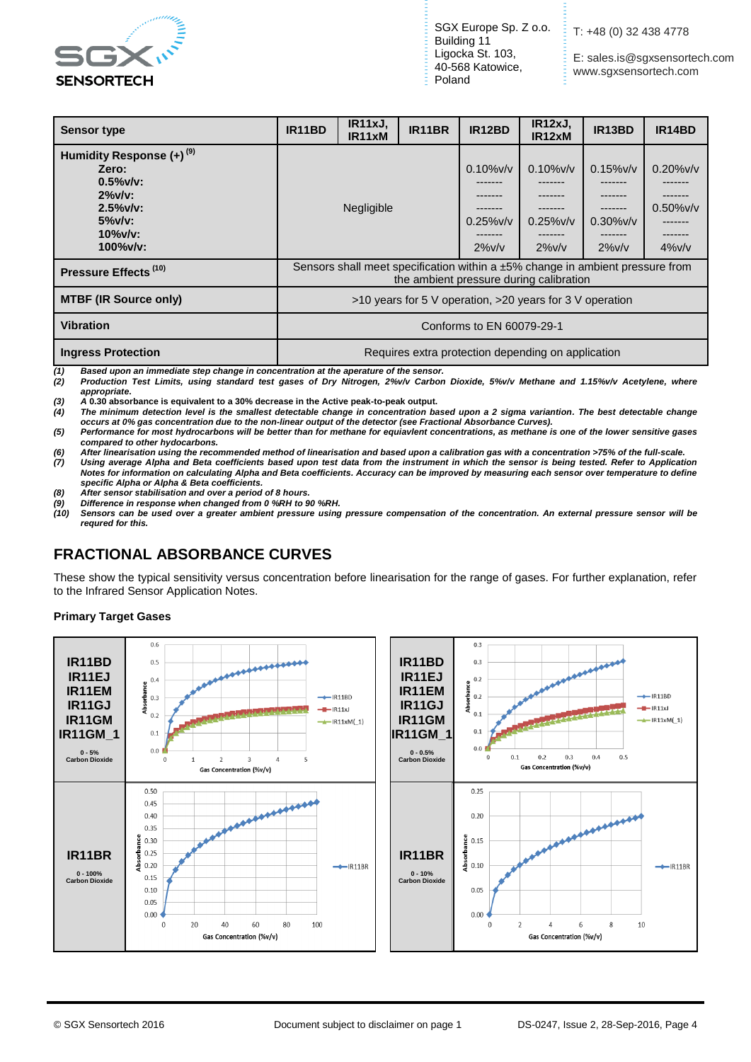

**E:** sales.is@sgxsensortech.com www.sgxsensortech.com

| <b>Sensor type</b>                                                                                                                       | IR11BD                                                                                                                   | IR <sub>11xJ</sub><br>IR <sub>11</sub> xM | IR11BR | IR12BD                                                                     | IR12xJ,<br>IR12xM                                    | IR13BD                                               | IR14BD                                    |
|------------------------------------------------------------------------------------------------------------------------------------------|--------------------------------------------------------------------------------------------------------------------------|-------------------------------------------|--------|----------------------------------------------------------------------------|------------------------------------------------------|------------------------------------------------------|-------------------------------------------|
| Humidity Response (+) <sup>(9)</sup><br>Zero:<br>$0.5\%$ v/v:<br>$2\%$ v/v:<br>$2.5\%$ v/v:<br>$5\%$ v/v:<br>$10\%$ v/v:<br>$100\%$ v/v: |                                                                                                                          | Negligible                                |        | $0.10\%$ v/v<br>-------<br>-------<br>-------<br>$0.25\%$ v/v<br>$2\%$ v/v | $0.10\%$ v/v<br>-------<br>$0.25\%$ v/v<br>$2\%$ v/v | $0.15\%$ v/v<br>-------<br>$0.30\%$ v/v<br>$2\%$ v/v | $0.20\%$ v/v<br>$0.50\%$ v/v<br>$4\%$ v/v |
| Pressure Effects <sup>(10)</sup>                                                                                                         | Sensors shall meet specification within a ±5% change in ambient pressure from<br>the ambient pressure during calibration |                                           |        |                                                                            |                                                      |                                                      |                                           |
| <b>MTBF (IR Source only)</b>                                                                                                             | >10 years for 5 V operation, >20 years for 3 V operation                                                                 |                                           |        |                                                                            |                                                      |                                                      |                                           |
| <b>Vibration</b>                                                                                                                         | Conforms to EN 60079-29-1                                                                                                |                                           |        |                                                                            |                                                      |                                                      |                                           |
| <b>Ingress Protection</b>                                                                                                                | Requires extra protection depending on application                                                                       |                                           |        |                                                                            |                                                      |                                                      |                                           |

*(1) Based upon an immediate step change in concentration at the aperature of the sensor. (2) Production Test Limits, using standard test gases of Dry Nitrogen, 2%v/v Carbon Dioxide, 5%v/v Methane and 1.15%v/v Acetylene, where appropriate***.**

*(3) A* **0.30 absorbance is equivalent to a 30% decrease in the Active peak-to-peak output.**

*(4) The minimum detection level is the smallest detectable change in concentration based upon a 2 sigma variantion. The best detectable change occurs at 0% gas concentration due to the non-linear output of the detector (see Fractional Absorbance Curves).*

*(5) Performance for most hydrocarbons will be better than for methane for equiavlent concentrations, as methane is one of the lower sensitive gases compared to other hydocarbons.*

*(6) After linearisation using the recommended method of linearisation and based upon a calibration gas with a concentration >75% of the full-scale.*

Using average Alpha and Beta coefficients based upon test data from the instrument in which the sensor is being tested. Refer to Application *Notes for information on calculating Alpha and Beta coefficients. Accuracy can be improved by measuring each sensor over temperature to define specific Alpha or Alpha & Beta coefficients.*

*(8) After sensor stabilisation and over a period of 8 hours.*

*(9) Difference in response when changed from 0 %RH to 90 %RH. (10) Sensors can be used over a greater ambient pressure using pressure compensation of the concentration. An external pressure sensor will be requred for this.*

## **FRACTIONAL ABSORBANCE CURVES**

These show the typical sensitivity versus concentration before linearisation for the range of gases. For further explanation, refer to the Infrared Sensor Application Notes.

#### **Primary Target Gases**

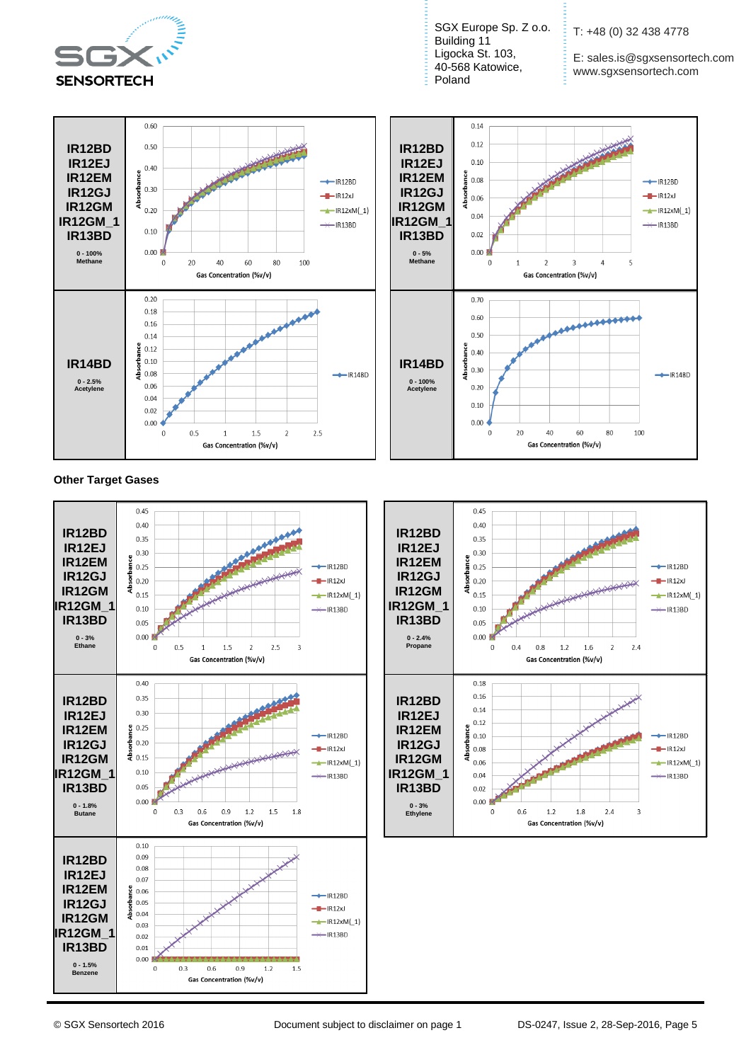

SGX Europe Sp. Z o.o. = Building 11 Ligocka St. 103, 40-568 Katowice, Poland

T: +48 (0) 32 438 4778

E: sales.is@sgxsensortech.com www.sgxsensortech.com





**Other Target Gases**



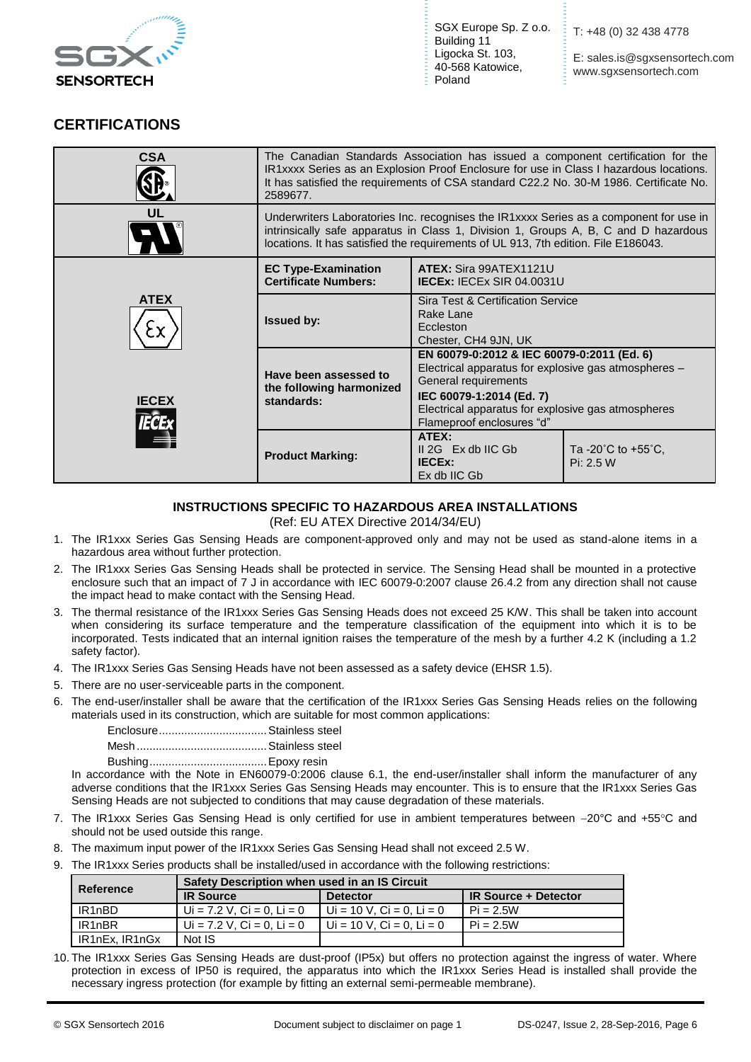

E: sales.is@sgxsensortech.com www.sgxsensortech.com

#### **CERTIFICATIONS**

| <b>CSA</b>   | The Canadian Standards Association has issued a component certification for the<br>IR1xxxx Series as an Explosion Proof Enclosure for use in Class I hazardous locations.<br>It has satisfied the requirements of CSA standard C22.2 No. 30-M 1986. Certificate No.<br>2589677 |                                                                                                                                                                                                                                           |                                                       |  |
|--------------|--------------------------------------------------------------------------------------------------------------------------------------------------------------------------------------------------------------------------------------------------------------------------------|-------------------------------------------------------------------------------------------------------------------------------------------------------------------------------------------------------------------------------------------|-------------------------------------------------------|--|
| UL           | Underwriters Laboratories Inc. recognises the IR1xxxx Series as a component for use in<br>intrinsically safe apparatus in Class 1, Division 1, Groups A, B, C and D hazardous<br>locations. It has satisfied the requirements of UL 913, 7th edition. File E186043.            |                                                                                                                                                                                                                                           |                                                       |  |
|              | <b>EC Type-Examination</b><br><b>Certificate Numbers:</b>                                                                                                                                                                                                                      | ATEX: Sira 99ATEX1121U<br><b>IECEX: IECEX SIR 04.0031U</b>                                                                                                                                                                                |                                                       |  |
| <b>ATEX</b>  | <b>Issued by:</b>                                                                                                                                                                                                                                                              | Sira Test & Certification Service<br>Rake Lane<br>Eccleston<br>Chester, CH4 9JN, UK                                                                                                                                                       |                                                       |  |
| <b>IECEX</b> | Have been assessed to<br>the following harmonized<br>standards:                                                                                                                                                                                                                | EN 60079-0:2012 & IEC 60079-0:2011 (Ed. 6)<br>Electrical apparatus for explosive gas atmospheres -<br>General requirements<br>IEC 60079-1:2014 (Ed. 7)<br>Electrical apparatus for explosive gas atmospheres<br>Flameproof enclosures "d" |                                                       |  |
|              | <b>Product Marking:</b>                                                                                                                                                                                                                                                        | ATEX:<br>$II 2G$ Ex db IIC Gb<br><b>IECEX:</b><br>Ex db IIC Gb                                                                                                                                                                            | Ta -20 $^{\circ}$ C to +55 $^{\circ}$ C,<br>Pi: 2.5 W |  |

#### **INSTRUCTIONS SPECIFIC TO HAZARDOUS AREA INSTALLATIONS**

(Ref: EU ATEX Directive 2014/34/EU)

- 1. The IR1xxx Series Gas Sensing Heads are component-approved only and may not be used as stand-alone items in a hazardous area without further protection.
- 2. The IR1xxx Series Gas Sensing Heads shall be protected in service. The Sensing Head shall be mounted in a protective enclosure such that an impact of 7 J in accordance with IEC 60079-0:2007 clause 26.4.2 from any direction shall not cause the impact head to make contact with the Sensing Head.
- 3. The thermal resistance of the IR1xxx Series Gas Sensing Heads does not exceed 25 K/W. This shall be taken into account when considering its surface temperature and the temperature classification of the equipment into which it is to be incorporated. Tests indicated that an internal ignition raises the temperature of the mesh by a further 4.2 K (including a 1.2 safety factor).
- 4. The IR1xxx Series Gas Sensing Heads have not been assessed as a safety device (EHSR 1.5).
- 5. There are no user-serviceable parts in the component.
- 6. The end-user/installer shall be aware that the certification of the IR1xxx Series Gas Sensing Heads relies on the following materials used in its construction, which are suitable for most common applications:

Enclosure..................................Stainless steel Mesh.........................................Stainless steel

Bushing.....................................Epoxy resin

In accordance with the Note in EN60079-0:2006 clause 6.1, the end-user/installer shall inform the manufacturer of any adverse conditions that the IR1xxx Series Gas Sensing Heads may encounter. This is to ensure that the IR1xxx Series Gas Sensing Heads are not subjected to conditions that may cause degradation of these materials.

- 7. The IR1xxx Series Gas Sensing Head is only certified for use in ambient temperatures between -20°C and +55°C and should not be used outside this range.
- 8. The maximum input power of the IR1xxx Series Gas Sensing Head shall not exceed 2.5 W.
- 9. The IR1xxx Series products shall be installed/used in accordance with the following restrictions:

| Reference                       | Safety Description when used in an IS Circuit |                             |                             |  |  |
|---------------------------------|-----------------------------------------------|-----------------------------|-----------------------------|--|--|
|                                 | <b>IR Source</b><br><b>Detector</b>           |                             | <b>IR Source + Detector</b> |  |  |
| IR <sub>1</sub> nBD             | Ui = 7.2 V. Ci = 0. Li = 0                    | $U = 10 V$ . Ci = 0. Li = 0 | $Pi = 2.5W$                 |  |  |
| IR <sub>1</sub> n <sub>BR</sub> | Ui = 7.2 V. Ci = 0. Li = 0                    | Ui = 10 V, Ci = 0, Li = 0   | $Pi = 2.5W$                 |  |  |
| IR1nEx. IR1nGx                  | Not IS                                        |                             |                             |  |  |

10. The IR1xxx Series Gas Sensing Heads are dust-proof (IP5x) but offers no protection against the ingress of water. Where protection in excess of IP50 is required, the apparatus into which the IR1xxx Series Head is installed shall provide the necessary ingress protection (for example by fitting an external semi-permeable membrane).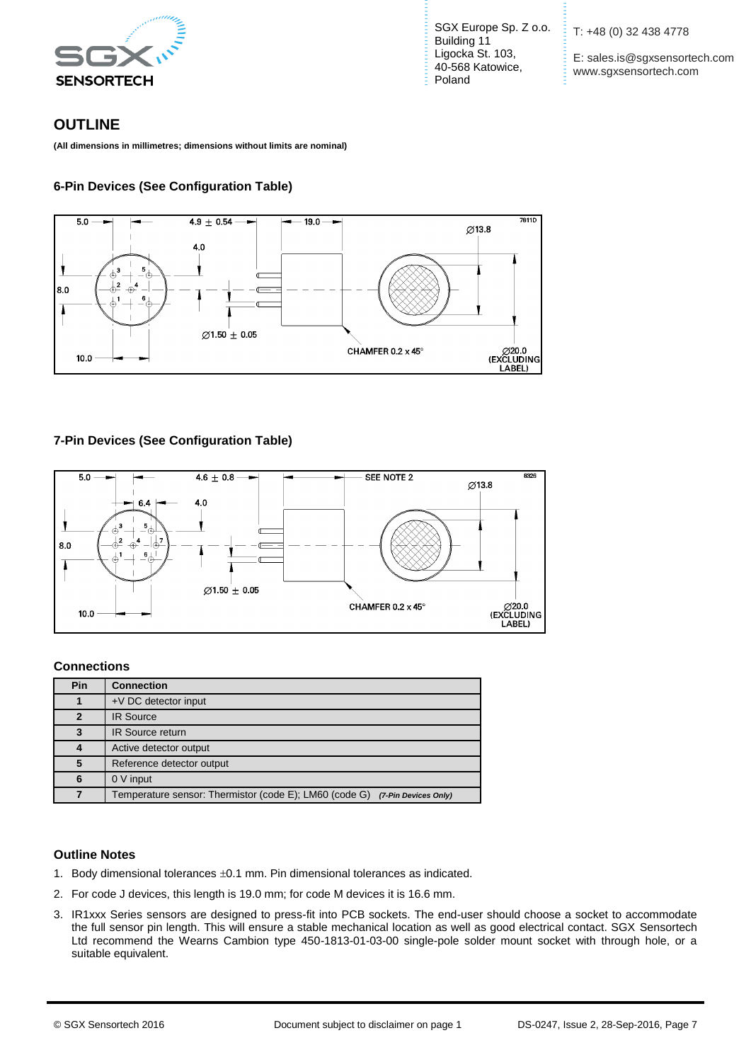

SGX Europe Sp. Z o.o. Building 11 Ligocka St. 103, 40-568 Katowice, Poland

T: +48 (0) 32 438 4778

Æ.

E: sales.is@sgxsensortech.com www.sgxsensortech.com

### **OUTLINE**

**(All dimensions in millimetres; dimensions without limits are nominal)**

#### **6-Pin Devices (See Configuration Table)**



#### **7-Pin Devices (See Configuration Table)**



#### **Connections**

| Pin          | <b>Connection</b>                                                              |
|--------------|--------------------------------------------------------------------------------|
|              | +V DC detector input                                                           |
| $\mathbf{2}$ | <b>IR Source</b>                                                               |
| 3            | IR Source return                                                               |
| 4            | Active detector output                                                         |
| 5            | Reference detector output                                                      |
| 6            | 0 V input                                                                      |
|              | Temperature sensor: Thermistor (code E); LM60 (code G)<br>(7-Pin Devices Only) |

#### **Outline Notes**

- 1. Body dimensional tolerances  $\pm 0.1$  mm. Pin dimensional tolerances as indicated.
- 2. For code J devices, this length is 19.0 mm; for code M devices it is 16.6 mm.
- 3. IR1xxx Series sensors are designed to press-fit into PCB sockets. The end-user should choose a socket to accommodate the full sensor pin length. This will ensure a stable mechanical location as well as good electrical contact. SGX Sensortech Ltd recommend the Wearns Cambion type 450-1813-01-03-00 single-pole solder mount socket with through hole, or a suitable equivalent.